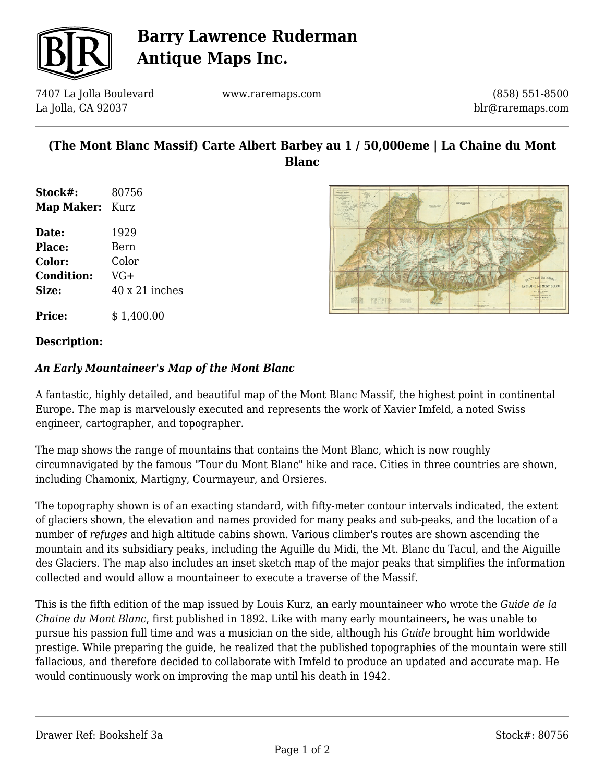

## **Barry Lawrence Ruderman Antique Maps Inc.**

7407 La Jolla Boulevard La Jolla, CA 92037

www.raremaps.com

(858) 551-8500 blr@raremaps.com

## **(The Mont Blanc Massif) Carte Albert Barbey au 1 / 50,000eme | La Chaine du Mont Blanc**

| Stock#:<br><b>Map Maker:</b> Kurz | 80756                 |
|-----------------------------------|-----------------------|
|                                   |                       |
| <b>Place:</b>                     | Bern                  |
| <b>Color:</b>                     | Color                 |
| <b>Condition:</b>                 | $VG+$                 |
| Size:                             | $40 \times 21$ inches |
|                                   |                       |



**Price:**  $$ 1.400.00$ 

#### **Description:**

### *An Early Mountaineer's Map of the Mont Blanc*

A fantastic, highly detailed, and beautiful map of the Mont Blanc Massif, the highest point in continental Europe. The map is marvelously executed and represents the work of Xavier Imfeld, a noted Swiss engineer, cartographer, and topographer.

The map shows the range of mountains that contains the Mont Blanc, which is now roughly circumnavigated by the famous "Tour du Mont Blanc" hike and race. Cities in three countries are shown, including Chamonix, Martigny, Courmayeur, and Orsieres.

The topography shown is of an exacting standard, with fifty-meter contour intervals indicated, the extent of glaciers shown, the elevation and names provided for many peaks and sub-peaks, and the location of a number of *refuges* and high altitude cabins shown. Various climber's routes are shown ascending the mountain and its subsidiary peaks, including the Aguille du Midi, the Mt. Blanc du Tacul, and the Aiguille des Glaciers. The map also includes an inset sketch map of the major peaks that simplifies the information collected and would allow a mountaineer to execute a traverse of the Massif.

This is the fifth edition of the map issued by Louis Kurz, an early mountaineer who wrote the *Guide de la Chaine du Mont Blanc*, first published in 1892. Like with many early mountaineers, he was unable to pursue his passion full time and was a musician on the side, although his *Guide* brought him worldwide prestige. While preparing the guide, he realized that the published topographies of the mountain were still fallacious, and therefore decided to collaborate with Imfeld to produce an updated and accurate map. He would continuously work on improving the map until his death in 1942.